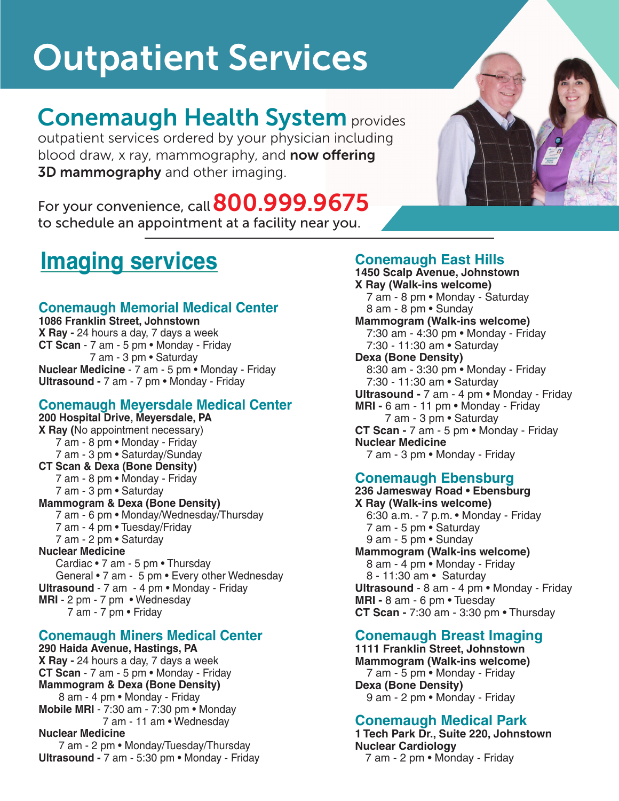# Outpatient Services

# Conemaugh Health System provides

outpatient services ordered by your physician including blood draw, x ray, mammography, and **now offering 3D mammography** and other imaging.



# **Imaging services**

# **Conemaugh Memorial Medical Center**

**1086 Franklin Street, Johnstown X Ray -** 24 hours a day, 7 days a week **CT Scan** - 7 am - 5 pm • Monday - Friday 7 am - 3 pm • Saturday **Nuclear Medicine** - 7 am - 5 pm • Monday - Friday **Ultrasound -** 7 am - 7 pm • Monday - Friday

## **Conemaugh Meyersdale Medical Center**

**200 Hospital Drive, Meyersdale, PA X Ray (**No appointment necessary) 7 am - 8 pm • Monday - Friday 7 am - 3 pm • Saturday/Sunday **CT Scan & Dexa (Bone Density)** 7 am - 8 pm • Monday - Friday 7 am - 3 pm • Saturday **Mammogram & Dexa (Bone Density)** 7 am - 6 pm • Monday/Wednesday/Thursday 7 am - 4 pm • Tuesday/Friday 7 am - 2 pm • Saturday **Nuclear Medicine** Cardiac • 7 am - 5 pm • Thursday General • 7 am - 5 pm • Every other Wednesday **Ultrasound** - 7 am - 4 pm • Monday - Friday **MRI** - 2 pm - 7 pm • Wednesday 7 am - 7 pm • Friday

# **Conemaugh Miners Medical Center**

**290 Haida Avenue, Hastings, PA X Ray -** 24 hours a day, 7 days a week **CT Scan** - 7 am - 5 pm • Monday - Friday **Mammogram & Dexa (Bone Density)** 8 am - 4 pm • Monday - Friday **Mobile MRI** - 7:30 am - 7:30 pm • Monday 7 am - 11 am • Wednesday **Nuclear Medicine** 7 am - 2 pm • Monday/Tuesday/Thursday

**Ultrasound -** 7 am - 5:30 pm • Monday - Friday

# **Conemaugh East Hills**

**1450 Scalp Avenue, Johnstown X Ray (Walk-ins welcome)** 7 am - 8 pm • Monday - Saturday 8 am - 8 pm • Sunday **Mammogram (Walk-ins welcome)** 7:30 am - 4:30 pm • Monday - Friday 7:30 - 11:30 am • Saturday **Dexa (Bone Density)** 8:30 am - 3:30 pm • Monday - Friday 7:30 - 11:30 am • Saturday **Ultrasound -** 7 am - 4 pm • Monday - Friday **MRI -** 6 am - 11 pm • Monday - Friday 7 am - 3 pm • Saturday **CT Scan -** 7 am - 5 pm • Monday - Friday **Nuclear Medicine** 7 am - 3 pm • Monday - Friday **Conemaugh Ebensburg**

**236 Jamesway Road • Ebensburg X Ray (Walk-ins welcome)** 6:30 a.m. - 7 p.m. • Monday - Friday 7 am - 5 pm • Saturday 9 am - 5 pm • Sunday **Mammogram (Walk-ins welcome)** 8 am - 4 pm • Monday - Friday 8 - 11:30 am • Saturday **Ultrasound** - 8 am - 4 pm • Monday - Friday **MRI -** 8 am - 6 pm • Tuesday **CT Scan -** 7:30 am - 3:30 pm • Thursday

### **Conemaugh Breast Imaging**

**1111 Franklin Street, Johnstown Mammogram (Walk-ins welcome)** 7 am - 5 pm • Monday - Friday **Dexa (Bone Density)** 9 am - 2 pm • Monday - Friday

### **Conemaugh Medical Park**

**1 Tech Park Dr., Suite 220, Johnstown Nuclear Cardiology** 7 am - 2 pm • Monday - Friday